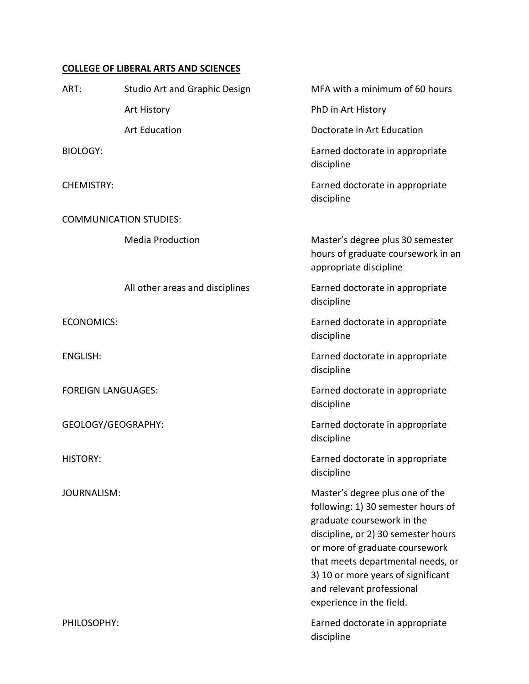# **COLLEGE OF LIBERAL ARTS AND SCIENCES**

| ART:                          | <b>Studio Art and Graphic Design</b> | MFA with a minimum of 60 hours                                                                                                                                                                                                                                                                                   |  |  |
|-------------------------------|--------------------------------------|------------------------------------------------------------------------------------------------------------------------------------------------------------------------------------------------------------------------------------------------------------------------------------------------------------------|--|--|
|                               | Art History                          | PhD in Art History                                                                                                                                                                                                                                                                                               |  |  |
|                               | <b>Art Education</b>                 | Doctorate in Art Education                                                                                                                                                                                                                                                                                       |  |  |
| <b>BIOLOGY:</b>               |                                      | Earned doctorate in appropriate<br>discipline                                                                                                                                                                                                                                                                    |  |  |
| <b>CHEMISTRY:</b>             |                                      | Earned doctorate in appropriate<br>discipline                                                                                                                                                                                                                                                                    |  |  |
| <b>COMMUNICATION STUDIES:</b> |                                      |                                                                                                                                                                                                                                                                                                                  |  |  |
|                               | <b>Media Production</b>              | Master's degree plus 30 semester<br>hours of graduate coursework in an<br>appropriate discipline                                                                                                                                                                                                                 |  |  |
|                               | All other areas and disciplines      | Earned doctorate in appropriate<br>discipline                                                                                                                                                                                                                                                                    |  |  |
| <b>ECONOMICS:</b>             |                                      | Earned doctorate in appropriate<br>discipline                                                                                                                                                                                                                                                                    |  |  |
| <b>ENGLISH:</b>               |                                      | Earned doctorate in appropriate<br>discipline                                                                                                                                                                                                                                                                    |  |  |
| <b>FOREIGN LANGUAGES:</b>     |                                      | Earned doctorate in appropriate<br>discipline                                                                                                                                                                                                                                                                    |  |  |
| GEOLOGY/GEOGRAPHY:            |                                      | Earned doctorate in appropriate<br>discipline                                                                                                                                                                                                                                                                    |  |  |
| <b>HISTORY:</b>               |                                      | Earned doctorate in appropriate<br>discipline                                                                                                                                                                                                                                                                    |  |  |
| <b>JOURNALISM:</b>            |                                      | Master's degree plus one of the<br>following: 1) 30 semester hours of<br>graduate coursework in the<br>discipline, or 2) 30 semester hours<br>or more of graduate coursework<br>that meets departmental needs, or<br>3) 10 or more years of significant<br>and relevant professional<br>experience in the field. |  |  |
| PHILOSOPHY:                   |                                      | Earned doctorate in appropriate<br>discipline                                                                                                                                                                                                                                                                    |  |  |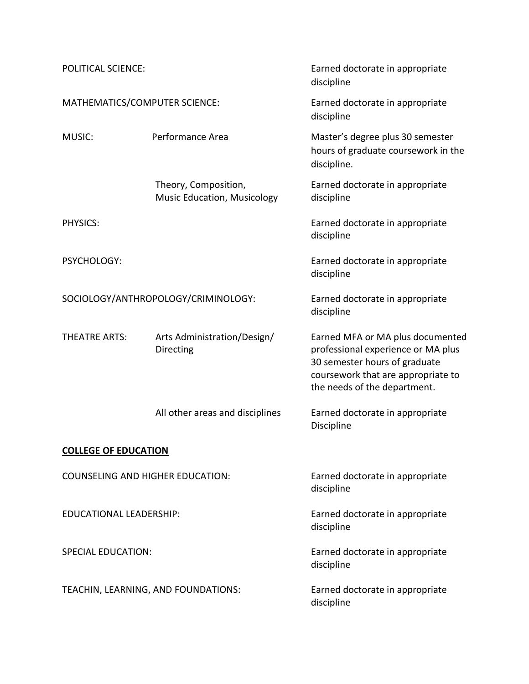| <b>POLITICAL SCIENCE:</b>               |                                                            | Earned doctorate in appropriate<br>discipline                                                                                                                                 |
|-----------------------------------------|------------------------------------------------------------|-------------------------------------------------------------------------------------------------------------------------------------------------------------------------------|
| MATHEMATICS/COMPUTER SCIENCE:           |                                                            | Earned doctorate in appropriate<br>discipline                                                                                                                                 |
| MUSIC:                                  | Performance Area                                           | Master's degree plus 30 semester<br>hours of graduate coursework in the<br>discipline.                                                                                        |
|                                         | Theory, Composition,<br><b>Music Education, Musicology</b> | Earned doctorate in appropriate<br>discipline                                                                                                                                 |
| PHYSICS:                                |                                                            | Earned doctorate in appropriate<br>discipline                                                                                                                                 |
| PSYCHOLOGY:                             |                                                            | Earned doctorate in appropriate<br>discipline                                                                                                                                 |
| SOCIOLOGY/ANTHROPOLOGY/CRIMINOLOGY:     |                                                            | Earned doctorate in appropriate<br>discipline                                                                                                                                 |
| THEATRE ARTS:                           | Arts Administration/Design/<br>Directing                   | Earned MFA or MA plus documented<br>professional experience or MA plus<br>30 semester hours of graduate<br>coursework that are appropriate to<br>the needs of the department. |
|                                         | All other areas and disciplines                            | Earned doctorate in appropriate<br>Discipline                                                                                                                                 |
| <b>COLLEGE OF EDUCATION</b>             |                                                            |                                                                                                                                                                               |
| <b>COUNSELING AND HIGHER EDUCATION:</b> |                                                            | Earned doctorate in appropriate<br>discipline                                                                                                                                 |
| EDUCATIONAL LEADERSHIP:                 |                                                            | Earned doctorate in appropriate<br>discipline                                                                                                                                 |
| <b>SPECIAL EDUCATION:</b>               |                                                            | Earned doctorate in appropriate<br>discipline                                                                                                                                 |
|                                         | TEACHIN, LEARNING, AND FOUNDATIONS:                        | Earned doctorate in appropriate<br>discipline                                                                                                                                 |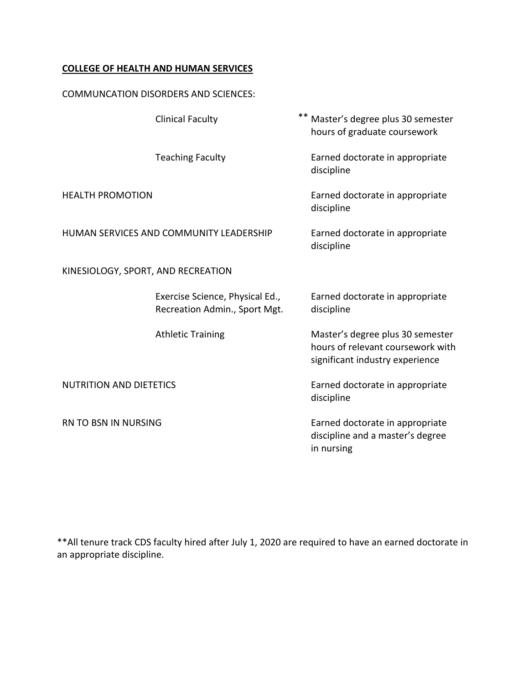## **COLLEGE OF HEALTH AND HUMAN SERVICES**

#### COMMUNCATION DISORDERS AND SCIENCES:

|                                         | <b>Clinical Faculty</b>                                          | $***$ | Master's degree plus 30 semester<br>hours of graduate coursework                                         |
|-----------------------------------------|------------------------------------------------------------------|-------|----------------------------------------------------------------------------------------------------------|
|                                         | <b>Teaching Faculty</b>                                          |       | Earned doctorate in appropriate<br>discipline                                                            |
| <b>HEALTH PROMOTION</b>                 |                                                                  |       | Earned doctorate in appropriate<br>discipline                                                            |
| HUMAN SERVICES AND COMMUNITY LEADERSHIP |                                                                  |       | Earned doctorate in appropriate<br>discipline                                                            |
|                                         | KINESIOLOGY, SPORT, AND RECREATION                               |       |                                                                                                          |
|                                         | Exercise Science, Physical Ed.,<br>Recreation Admin., Sport Mgt. |       | Earned doctorate in appropriate<br>discipline                                                            |
|                                         | <b>Athletic Training</b>                                         |       | Master's degree plus 30 semester<br>hours of relevant coursework with<br>significant industry experience |
| <b>NUTRITION AND DIETETICS</b>          |                                                                  |       | Earned doctorate in appropriate<br>discipline                                                            |
| RN TO BSN IN NURSING                    |                                                                  |       | Earned doctorate in appropriate<br>discipline and a master's degree<br>in nursing                        |

\*\*All tenure track CDS faculty hired after July 1, 2020 are required to have an earned doctorate in an appropriate discipline.